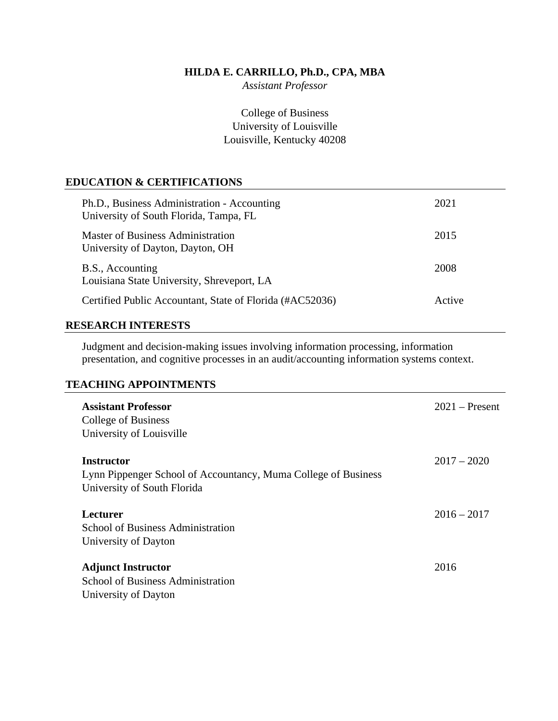## **HILDA E. CARRILLO, Ph.D., CPA, MBA**

*Assistant Professor*

College of Business University of Louisville Louisville, Kentucky 40208

# **EDUCATION & CERTIFICATIONS**

| Ph.D., Business Administration - Accounting<br>University of South Florida, Tampa, FL | 2021   |
|---------------------------------------------------------------------------------------|--------|
| Master of Business Administration<br>University of Dayton, Dayton, OH                 | 2015   |
| B.S., Accounting<br>Louisiana State University, Shreveport, LA                        | 2008   |
| Certified Public Accountant, State of Florida (#AC52036)                              | Active |

## **RESEARCH INTERESTS**

Judgment and decision-making issues involving information processing, information presentation, and cognitive processes in an audit/accounting information systems context.

# **TEACHING APPOINTMENTS**

| <b>Assistant Professor</b><br>College of Business<br>University of Louisville                                      | $2021 -$ Present |
|--------------------------------------------------------------------------------------------------------------------|------------------|
| <b>Instructor</b><br>Lynn Pippenger School of Accountancy, Muma College of Business<br>University of South Florida | $2017 - 2020$    |
| Lecturer<br><b>School of Business Administration</b><br>University of Dayton                                       | $2016 - 2017$    |
| <b>Adjunct Instructor</b><br><b>School of Business Administration</b><br>University of Dayton                      | 2016             |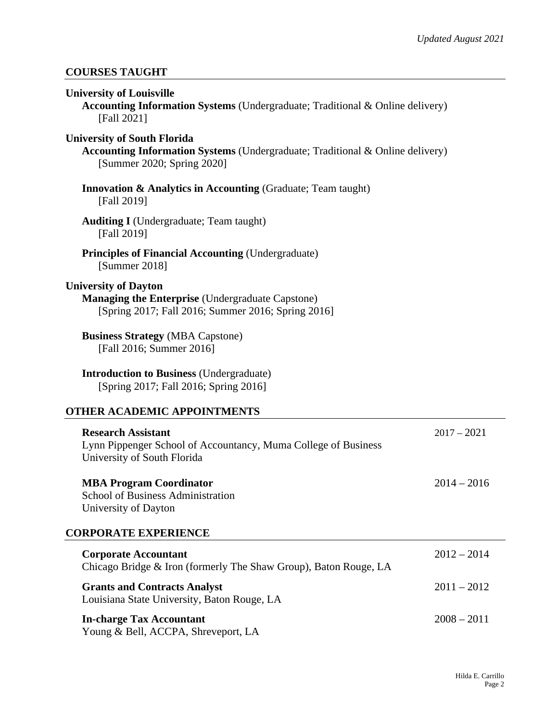# **COURSES TAUGHT**

| <b>University of Louisville</b><br><b>Accounting Information Systems</b> (Undergraduate; Traditional & Online delivery)<br>[Fall 2021]                   |
|----------------------------------------------------------------------------------------------------------------------------------------------------------|
| <b>University of South Florida</b><br><b>Accounting Information Systems</b> (Undergraduate; Traditional & Online delivery)<br>[Summer 2020; Spring 2020] |
| <b>Innovation &amp; Analytics in Accounting (Graduate; Team taught)</b><br>[Fall 2019]                                                                   |
| <b>Auditing I</b> (Undergraduate; Team taught)<br>[Fall 2019]                                                                                            |
| <b>Principles of Financial Accounting (Undergraduate)</b><br>[Summer 2018]                                                                               |
| <b>University of Dayton</b><br><b>Managing the Enterprise (Undergraduate Capstone)</b><br>[Spring 2017; Fall 2016; Summer 2016; Spring 2016]             |
| <b>Business Strategy (MBA Capstone)</b><br>[Fall 2016; Summer 2016]                                                                                      |
| <b>Introduction to Business (Undergraduate)</b><br>[Spring 2017; Fall 2016; Spring 2016]                                                                 |
| <b>OTHER ACADEMIC APPOINTMENTS</b>                                                                                                                       |
| <b>Research Assistant</b><br>$2017 - 2021$<br>Lynn Pippenger School of Accountancy, Muma College of Business<br>University of South Florida              |

**MBA Program Coordinator** 2014 – 2016 School of Business Administration University of Dayton **CORPORATE EXPERIENCE**

| <b>Corporate Accountant</b>                                                        | $2012 - 2014$ |
|------------------------------------------------------------------------------------|---------------|
| Chicago Bridge & Iron (formerly The Shaw Group), Baton Rouge, LA                   |               |
| <b>Grants and Contracts Analyst</b><br>Louisiana State University, Baton Rouge, LA | $2011 - 2012$ |
| <b>In-charge Tax Accountant</b><br>Young & Bell, ACCPA, Shreveport, LA             | $2008 - 2011$ |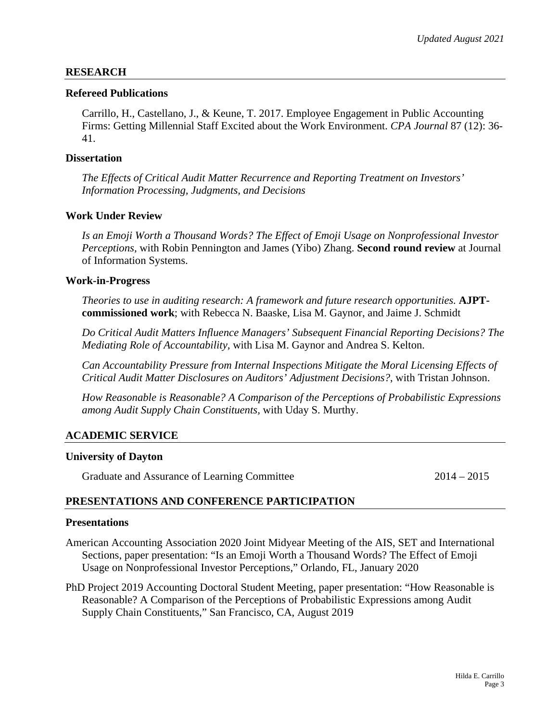### **RESEARCH**

#### **Refereed Publications**

Carrillo, H., Castellano, J., & Keune, T. 2017. Employee Engagement in Public Accounting Firms: Getting Millennial Staff Excited about the Work Environment. *CPA Journal* 87 (12): 36- 41.

### **Dissertation**

*The Effects of Critical Audit Matter Recurrence and Reporting Treatment on Investors' Information Processing, Judgments, and Decisions*

## **Work Under Review**

*Is an Emoji Worth a Thousand Words? The Effect of Emoji Usage on Nonprofessional Investor Perceptions,* with Robin Pennington and James (Yibo) Zhang. **Second round review** at Journal of Information Systems.

#### **Work-in-Progress**

*Theories to use in auditing research: A framework and future research opportunities.* **AJPTcommissioned work**; with Rebecca N. Baaske, Lisa M. Gaynor, and Jaime J. Schmidt

*Do Critical Audit Matters Influence Managers' Subsequent Financial Reporting Decisions? The Mediating Role of Accountability,* with Lisa M. Gaynor and Andrea S. Kelton.

*Can Accountability Pressure from Internal Inspections Mitigate the Moral Licensing Effects of Critical Audit Matter Disclosures on Auditors' Adjustment Decisions?*, with Tristan Johnson.

*How Reasonable is Reasonable? A Comparison of the Perceptions of Probabilistic Expressions among Audit Supply Chain Constituents,* with Uday S. Murthy.

### **ACADEMIC SERVICE**

#### **University of Dayton**

Graduate and Assurance of Learning Committee 2014 – 2014 – 2015

## **PRESENTATIONS AND CONFERENCE PARTICIPATION**

#### **Presentations**

- American Accounting Association 2020 Joint Midyear Meeting of the AIS, SET and International Sections, paper presentation: "Is an Emoji Worth a Thousand Words? The Effect of Emoji Usage on Nonprofessional Investor Perceptions," Orlando, FL, January 2020
- PhD Project 2019 Accounting Doctoral Student Meeting, paper presentation: "How Reasonable is Reasonable? A Comparison of the Perceptions of Probabilistic Expressions among Audit Supply Chain Constituents," San Francisco, CA, August 2019